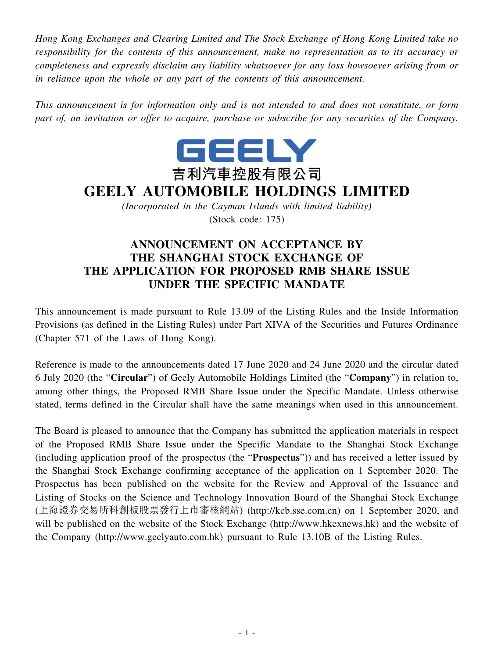*Hong Kong Exchanges and Clearing Limited and The Stock Exchange of Hong Kong Limited take no responsibility for the contents of this announcement, make no representation as to its accuracy or completeness and expressly disclaim any liability whatsoever for any loss howsoever arising from or in reliance upon the whole or any part of the contents of this announcement.*

*This announcement is for information only and is not intended to and does not constitute, or form part of, an invitation or offer to acquire, purchase or subscribe for any securities of the Company.*



## **GEELY AUTOMOBILE HOLDINGS LIMITED**

*(Incorporated in the Cayman Islands with limited liability)* (Stock code: 175)

## **ANNOUNCEMENT ON ACCEPTANCE BY THE SHANGHAI STOCK EXCHANGE OF THE APPLICATION FOR PROPOSED RMB SHARE ISSUE UNDER THE SPECIFIC MANDATE**

This announcement is made pursuant to Rule 13.09 of the Listing Rules and the Inside Information Provisions (as defined in the Listing Rules) under Part XIVA of the Securities and Futures Ordinance (Chapter 571 of the Laws of Hong Kong).

Reference is made to the announcements dated 17 June 2020 and 24 June 2020 and the circular dated 6 July 2020 (the "**Circular**") of Geely Automobile Holdings Limited (the "**Company**") in relation to, among other things, the Proposed RMB Share Issue under the Specific Mandate. Unless otherwise stated, terms defined in the Circular shall have the same meanings when used in this announcement.

The Board is pleased to announce that the Company has submitted the application materials in respect of the Proposed RMB Share Issue under the Specific Mandate to the Shanghai Stock Exchange (including application proof of the prospectus (the "**Prospectus**")) and has received a letter issued by the Shanghai Stock Exchange confirming acceptance of the application on 1 September 2020. The Prospectus has been published on the website for the Review and Approval of the Issuance and Listing of Stocks on the Science and Technology Innovation Board of the Shanghai Stock Exchange (上海證券交易所科創板股票發行上市審核網站) (http://kcb.sse.com.cn) on 1 September 2020, and will be published on the website of the Stock Exchange (http://www.hkexnews.hk) and the website of the Company (http://www.geelyauto.com.hk) pursuant to Rule 13.10B of the Listing Rules.